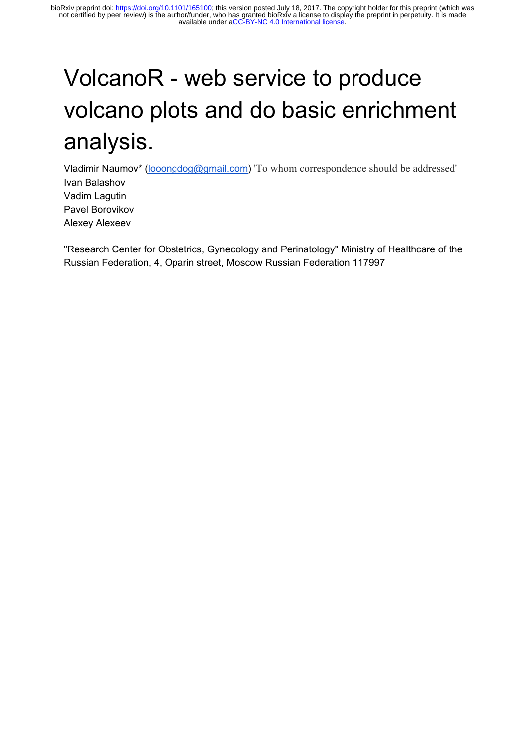# VolcanoR - web service to produce volcano plots and do basic enrichment analysis.

Vladimir Naumov\* ([looongdog@gmail.com\)](mailto:looongdog@gmail.com) 'To whom correspondence should be addressed' Ivan Balashov Vadim Lagutin Pavel Borovikov Alexey Alexeev

"Research Center for Obstetrics, Gynecology and Perinatology" Ministry of Healthcare of the Russian Federation, 4, Oparin street, Moscow Russian Federation 117997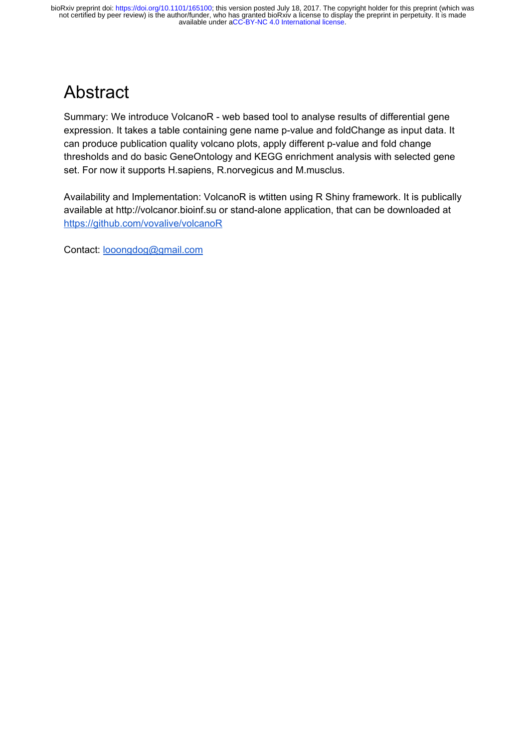# Abstract

Summary: We introduce VolcanoR - web based tool to analyse results of differential gene expression. It takes a table containing gene name p-value and foldChange as input data. It can produce publication quality volcano plots, apply different p-value and fold change thresholds and do basic GeneOntology and KEGG enrichment analysis with selected gene set. For now it supports H.sapiens, R.norvegicus and M.musclus.

Availability and Implementation: VolcanoR is wtitten using R Shiny framework. It is publically available at http://volcanor.bioinf.su or stand-alone application, that can be downloaded at <https://github.com/vovalive/volcanoR>

Contact: [looongdog@gmail.com](mailto:looongdog@gmail.com)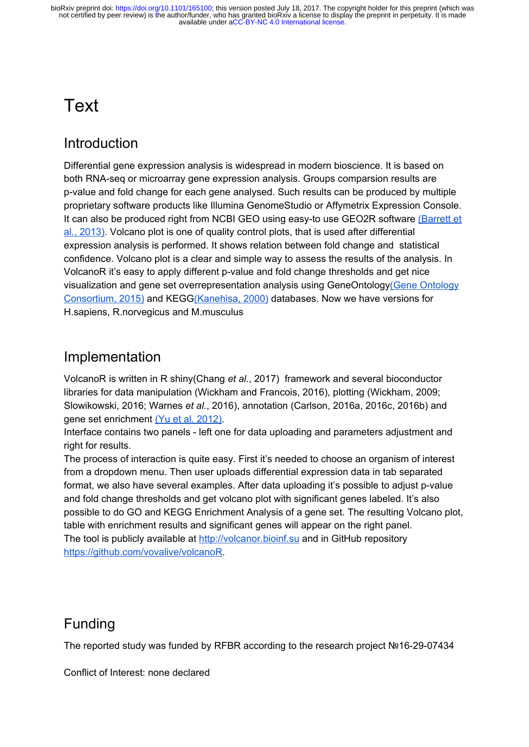# Text

### **Introduction**

Differential gene expression analysis is widespread in modern bioscience. It is based on both RNA-seq or microarray gene expression analysis. Groups comparsion results are p-value and fold change for each gene analysed. Such results can be produced by multiple proprietary software products like Illumina GenomeStudio or Affymetrix Expression Console. It can also be produced right from NCBI GEO using easy-to use GEO2R software [\(Barrett et](https://paperpile.com/c/Sixh2p/JKoy) [al., 2013\).](https://paperpile.com/c/Sixh2p/JKoy) Volcano plot is one of quality control plots, that is used after differential expression analysis is performed. It shows relation between fold change and statistical confidence. Volcano plot is a clear and simple way to assess the results of the analysis. In VolcanoR it's easy to apply different p-value and fold change thresholds and get nice visualization and gene set overrepresentation analysis using GeneOntolog[y\(Gene Ontology](https://paperpile.com/c/Sixh2p/3puL) [Consortium, 2015\)](https://paperpile.com/c/Sixh2p/3puL) and KEG[G\(Kanehisa, 2000\)](https://paperpile.com/c/Sixh2p/qTqJ) databases. Now we have versions for H.sapiens, R.norvegicus and M.musculus

### Implementation

VolcanoR is written in R shin[y\(Chang](https://paperpile.com/c/Sixh2p/ihu0) *[et al.](https://paperpile.com/c/Sixh2p/ihu0)*[, 2017\)](https://paperpile.com/c/Sixh2p/ihu0) framework and several bioconductor libraries for data manipulation [\(Wickham and Francois, 2016\)](https://paperpile.com/c/Sixh2p/tGsq), plotting [\(Wickham, 2009;](https://paperpile.com/c/Sixh2p/iOtS+pa6B+noqd)  [Slowikowski, 2016; Warnes](https://paperpile.com/c/Sixh2p/iOtS+pa6B+noqd) *[et al.](https://paperpile.com/c/Sixh2p/iOtS+pa6B+noqd)*[, 2016\)](https://paperpile.com/c/Sixh2p/iOtS+pa6B+noqd), annotation [\(Carlson, 2016a, 2016c, 2016b\)](https://paperpile.com/c/Sixh2p/inmN+q5MP+hBB6) and gene set enrichment [\(Yu et al. 2012\).](https://paperpile.com/c/Sixh2p/kVDh)

Interface contains two panels - left one for data uploading and parameters adjustment and right for results.

The process of interaction is quite easy. First it's needed to choose an organism of interest from a dropdown menu. Then user uploads differential expression data in tab separated format, we also have several examples. After data uploading it's possible to adjust p-value and fold change thresholds and get volcano plot with significant genes labeled. It's also possible to do GO and KEGG Enrichment Analysis of a gene set. The resulting Volcano plot, table with enrichment results and significant genes will appear on the right panel. The tool is publicly available at [http://volcanor.bioinf.su](http://volcanor.bioinf.su/) and in GitHub repository [https://github.com/vovalive/volcanoR.](https://github.com/vovalive/volcanoR)

## Funding

The reported study was funded by RFBR according to the research project №16-29-07434

Conflict of Interest: none declared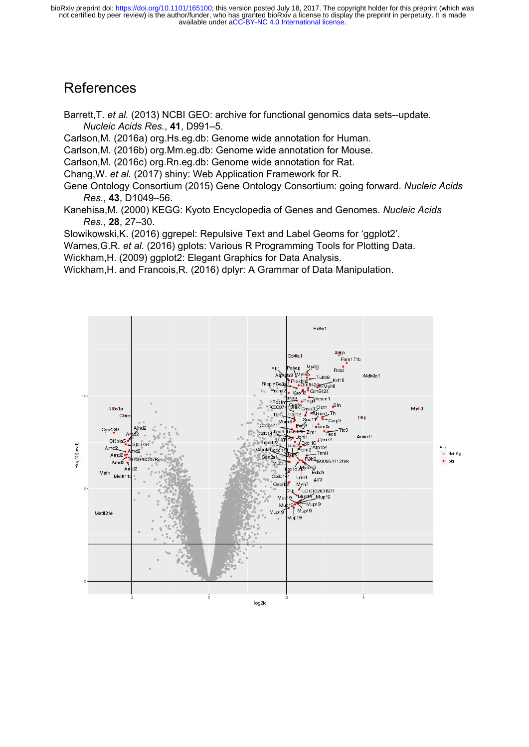available under [aCC-BY-NC 4.0 International license.](http://creativecommons.org/licenses/by-nc/4.0/) not certified by peer review) is the author/funder, who has granted bioRxiv a license to display the preprint in perpetuity. It is made bioRxiv preprint doi: [https://doi.org/10.1101/165100;](https://doi.org/10.1101/165100) this version posted July 18, 2017. The copyright holder for this preprint (which was

#### References

[Barrett,T.](http://paperpile.com/b/Sixh2p/JKoy) *[et al.](http://paperpile.com/b/Sixh2p/JKoy)* [\(2013\) NCBI GEO: archive for functional genomics data sets--update.](http://paperpile.com/b/Sixh2p/JKoy)  *[Nucleic Acids Res.](http://paperpile.com/b/Sixh2p/JKoy)*[,](http://paperpile.com/b/Sixh2p/JKoy) **[41](http://paperpile.com/b/Sixh2p/JKoy)**[, D991–5.](http://paperpile.com/b/Sixh2p/JKoy) 

[Carlson,M. \(2016a\) org.Hs.eg.db: Genome wide annotation for Human.](http://paperpile.com/b/Sixh2p/inmN) 

[Carlson,M. \(2016b\) org.Mm.eg.db: Genome wide annotation for Mouse.](http://paperpile.com/b/Sixh2p/hBB6) 

[Carlson,M. \(2016c\) org.Rn.eg.db: Genome wide annotation for Rat.](http://paperpile.com/b/Sixh2p/q5MP) 

[Chang,W.](http://paperpile.com/b/Sixh2p/ihu0) *[et al.](http://paperpile.com/b/Sixh2p/ihu0)* [\(2017\) shiny: Web Application Framework for R.](http://paperpile.com/b/Sixh2p/ihu0) 

[Gene Ontology Consortium \(2015\) Gene Ontology Consortium: going forward.](http://paperpile.com/b/Sixh2p/3puL) *[Nucleic Acids](http://paperpile.com/b/Sixh2p/3puL)  [Res.](http://paperpile.com/b/Sixh2p/3puL)*[,](http://paperpile.com/b/Sixh2p/3puL) **[43](http://paperpile.com/b/Sixh2p/3puL)**[, D1049–56.](http://paperpile.com/b/Sixh2p/3puL) 

[Kanehisa,M. \(2000\) KEGG: Kyoto Encyclopedia of Genes and Genomes.](http://paperpile.com/b/Sixh2p/qTqJ) *[Nucleic Acids](http://paperpile.com/b/Sixh2p/qTqJ)  [Res.](http://paperpile.com/b/Sixh2p/qTqJ)*[,](http://paperpile.com/b/Sixh2p/qTqJ) **[28](http://paperpile.com/b/Sixh2p/qTqJ)**[, 27–30.](http://paperpile.com/b/Sixh2p/qTqJ) 

[Slowikowski,K. \(2016\) ggrepel: Repulsive Text and Label Geoms for 'ggplot2'.](http://paperpile.com/b/Sixh2p/pa6B) 

[Warnes,G.R.](http://paperpile.com/b/Sixh2p/noqd) *[et al.](http://paperpile.com/b/Sixh2p/noqd)* [\(2016\) gplots: Various R Programming Tools for Plotting Data.](http://paperpile.com/b/Sixh2p/noqd)

[Wickham,H. \(2009\) ggplot2: Elegant Graphics for Data Analysis.](http://paperpile.com/b/Sixh2p/iOtS) 

[Wickham,H. and Francois,R. \(2016\) dplyr: A Grammar of Data Manipulation.](http://paperpile.com/b/Sixh2p/tGsq)